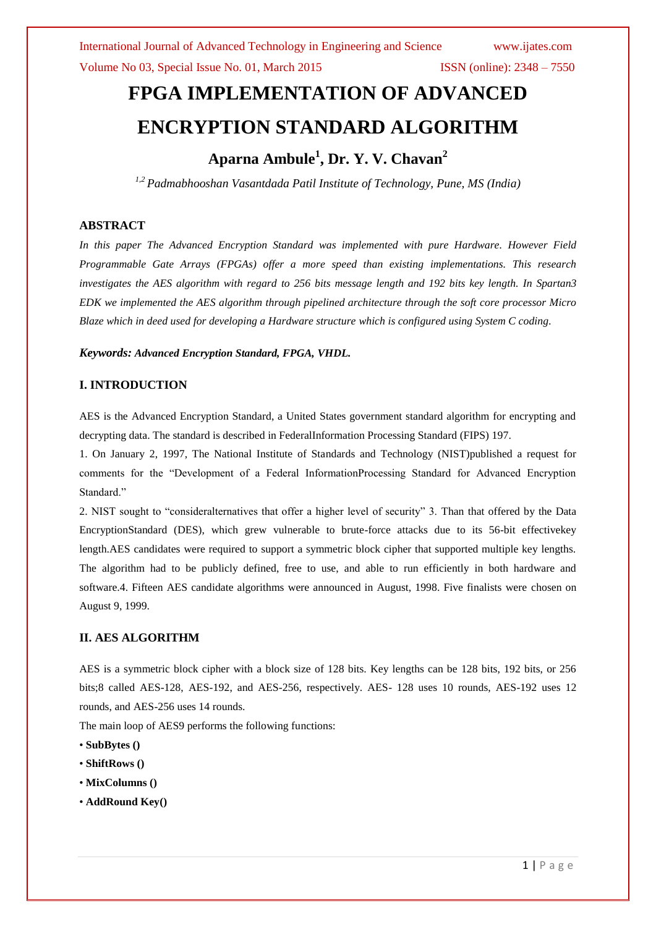# **FPGA IMPLEMENTATION OF ADVANCED ENCRYPTION STANDARD ALGORITHM**

# **Aparna Ambule<sup>1</sup> , Dr. Y. V. Chavan<sup>2</sup>**

*1,2 Padmabhooshan Vasantdada Patil Institute of Technology, Pune, MS (India)*

# **ABSTRACT**

*In this paper The Advanced Encryption Standard was implemented with pure Hardware. However Field Programmable Gate Arrays (FPGAs) offer a more speed than existing implementations. This research investigates the AES algorithm with regard to 256 bits message length and 192 bits key length. In Spartan3 EDK we implemented the AES algorithm through pipelined architecture through the soft core processor Micro Blaze which in deed used for developing a Hardware structure which is configured using System C coding.* 

*Keywords: Advanced Encryption Standard, FPGA, VHDL.* 

# **I. INTRODUCTION**

AES is the Advanced Encryption Standard, a United States government standard algorithm for encrypting and decrypting data. The standard is described in FederalInformation Processing Standard (FIPS) 197.

1. On January 2, 1997, The National Institute of Standards and Technology (NIST)published a request for comments for the "Development of a Federal InformationProcessing Standard for Advanced Encryption Standard."

2. NIST sought to "consideralternatives that offer a higher level of security" 3. Than that offered by the Data EncryptionStandard (DES), which grew vulnerable to brute-force attacks due to its 56-bit effectivekey length.AES candidates were required to support a symmetric block cipher that supported multiple key lengths. The algorithm had to be publicly defined, free to use, and able to run efficiently in both hardware and software.4. Fifteen AES candidate algorithms were announced in August, 1998. Five finalists were chosen on August 9, 1999.

# **II. AES ALGORITHM**

AES is a symmetric block cipher with a block size of 128 bits. Key lengths can be 128 bits, 192 bits, or 256 bits;8 called AES-128, AES-192, and AES-256, respectively. AES- 128 uses 10 rounds, AES-192 uses 12 rounds, and AES-256 uses 14 rounds.

The main loop of AES9 performs the following functions:

- **SubBytes ()**
- **ShiftRows ()**
- **MixColumns ()**
- **AddRound Key()**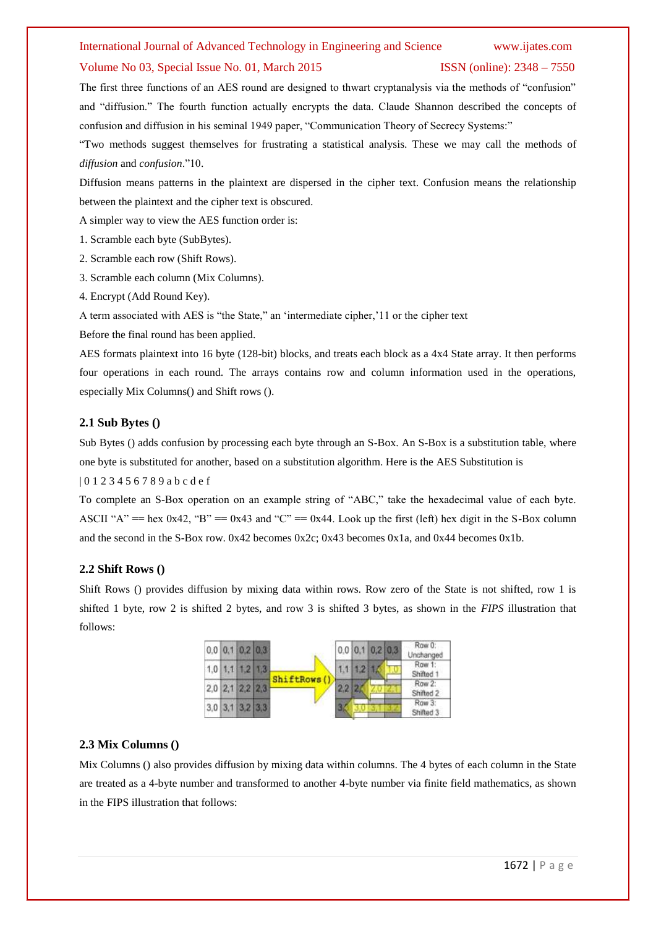# Volume No 03, Special Issue No. 01, March 2015 ISSN (online): 2348 – 7550

The first three functions of an AES round are designed to thwart cryptanalysis via the methods of "confusion" and "diffusion." The fourth function actually encrypts the data. Claude Shannon described the concepts of confusion and diffusion in his seminal 1949 paper, "Communication Theory of Secrecy Systems:"

―Two methods suggest themselves for frustrating a statistical analysis. These we may call the methods of *diffusion* and *confusion*.‖10.

Diffusion means patterns in the plaintext are dispersed in the cipher text. Confusion means the relationship between the plaintext and the cipher text is obscured.

A simpler way to view the AES function order is:

- 1. Scramble each byte (SubBytes).
- 2. Scramble each row (Shift Rows).
- 3. Scramble each column (Mix Columns).
- 4. Encrypt (Add Round Key).

A term associated with AES is "the State," an 'intermediate cipher,'11 or the cipher text

Before the final round has been applied.

AES formats plaintext into 16 byte (128-bit) blocks, and treats each block as a 4x4 State array. It then performs four operations in each round. The arrays contains row and column information used in the operations, especially Mix Columns() and Shift rows ().

# **2.1 Sub Bytes ()**

Sub Bytes () adds confusion by processing each byte through an S-Box. An S-Box is a substitution table, where one byte is substituted for another, based on a substitution algorithm. Here is the AES Substitution is

| 0 1 2 3 4 5 6 7 8 9 a b c d e f

To complete an S-Box operation on an example string of "ABC," take the hexadecimal value of each byte. ASCII "A" == hex  $0x42$ , "B" ==  $0x43$  and "C" ==  $0x44$ . Look up the first (left) hex digit in the S-Box column and the second in the S-Box row. 0x42 becomes 0x2c; 0x43 becomes 0x1a, and 0x44 becomes 0x1b.

# **2.2 Shift Rows ()**

Shift Rows () provides diffusion by mixing data within rows. Row zero of the State is not shifted, row 1 is shifted 1 byte, row 2 is shifted 2 bytes, and row 3 is shifted 3 bytes, as shown in the *FIPS* illustration that follows:



# **2.3 Mix Columns ()**

Mix Columns () also provides diffusion by mixing data within columns. The 4 bytes of each column in the State are treated as a 4-byte number and transformed to another 4-byte number via finite field mathematics, as shown in the FIPS illustration that follows: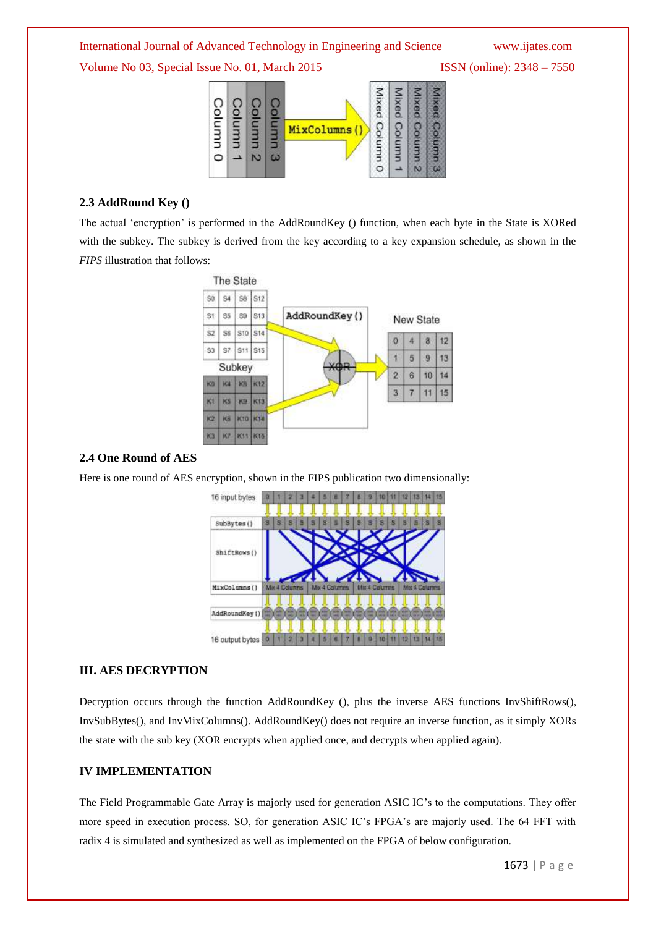Volume No 03, Special Issue No. 01, March 2015 ISSN (online): 2348 – 7550



# **2.3 AddRound Key ()**

The actual 'encryption' is performed in the AddRoundKey () function, when each byte in the State is XORed with the subkey. The subkey is derived from the key according to a key expansion schedule, as shown in the *FIPS* illustration that follows:



# **2.4 One Round of AES**

Here is one round of AES encryption, shown in the FIPS publication two dimensionally:



# **III. AES DECRYPTION**

Decryption occurs through the function AddRoundKey (), plus the inverse AES functions InvShiftRows(), InvSubBytes(), and InvMixColumns(). AddRoundKey() does not require an inverse function, as it simply XORs the state with the sub key (XOR encrypts when applied once, and decrypts when applied again).

# **IV IMPLEMENTATION**

The Field Programmable Gate Array is majorly used for generation ASIC IC's to the computations. They offer more speed in execution process. SO, for generation ASIC IC's FPGA's are majorly used. The 64 FFT with radix 4 is simulated and synthesized as well as implemented on the FPGA of below configuration.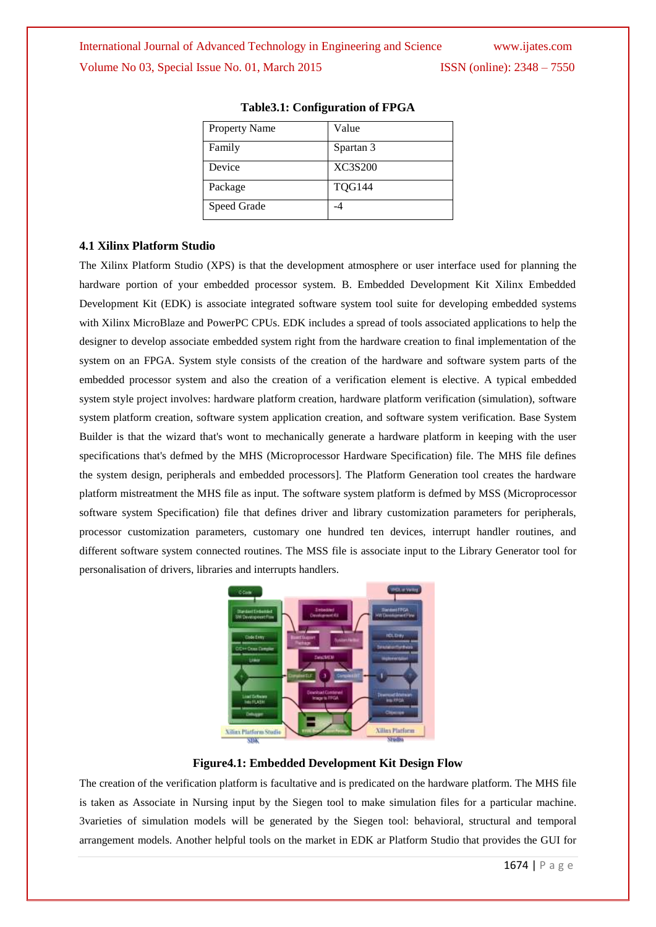# International Journal of Advanced Technology in Engineering and Science www.ijates.com Volume No 03, Special Issue No. 01, March 2015 ISSN (online): 2348 – 7550

| <b>Property Name</b> | Value          |
|----------------------|----------------|
| Family               | Spartan 3      |
| Device               | <b>XC3S200</b> |
| Package              | <b>TQG144</b>  |
| Speed Grade          |                |

# **Table3.1: Configuration of FPGA**

# **4.1 Xilinx Platform Studio**

The Xilinx Platform Studio (XPS) is that the development atmosphere or user interface used for planning the hardware portion of your embedded processor system. B. Embedded Development Kit Xilinx Embedded Development Kit (EDK) is associate integrated software system tool suite for developing embedded systems with Xilinx MicroBlaze and PowerPC CPUs. EDK includes a spread of tools associated applications to help the designer to develop associate embedded system right from the hardware creation to final implementation of the system on an FPGA. System style consists of the creation of the hardware and software system parts of the embedded processor system and also the creation of a verification element is elective. A typical embedded system style project involves: hardware platform creation, hardware platform verification (simulation), software system platform creation, software system application creation, and software system verification. Base System Builder is that the wizard that's wont to mechanically generate a hardware platform in keeping with the user specifications that's defmed by the MHS (Microprocessor Hardware Specification) file. The MHS file defines the system design, peripherals and embedded processors]. The Platform Generation tool creates the hardware platform mistreatment the MHS file as input. The software system platform is defmed by MSS (Microprocessor software system Specification) file that defines driver and library customization parameters for peripherals, processor customization parameters, customary one hundred ten devices, interrupt handler routines, and different software system connected routines. The MSS file is associate input to the Library Generator tool for personalisation of drivers, libraries and interrupts handlers.



# **Figure4.1: Embedded Development Kit Design Flow**

The creation of the verification platform is facultative and is predicated on the hardware platform. The MHS file is taken as Associate in Nursing input by the Siegen tool to make simulation files for a particular machine. 3varieties of simulation models will be generated by the Siegen tool: behavioral, structural and temporal arrangement models. Another helpful tools on the market in EDK ar Platform Studio that provides the GUI for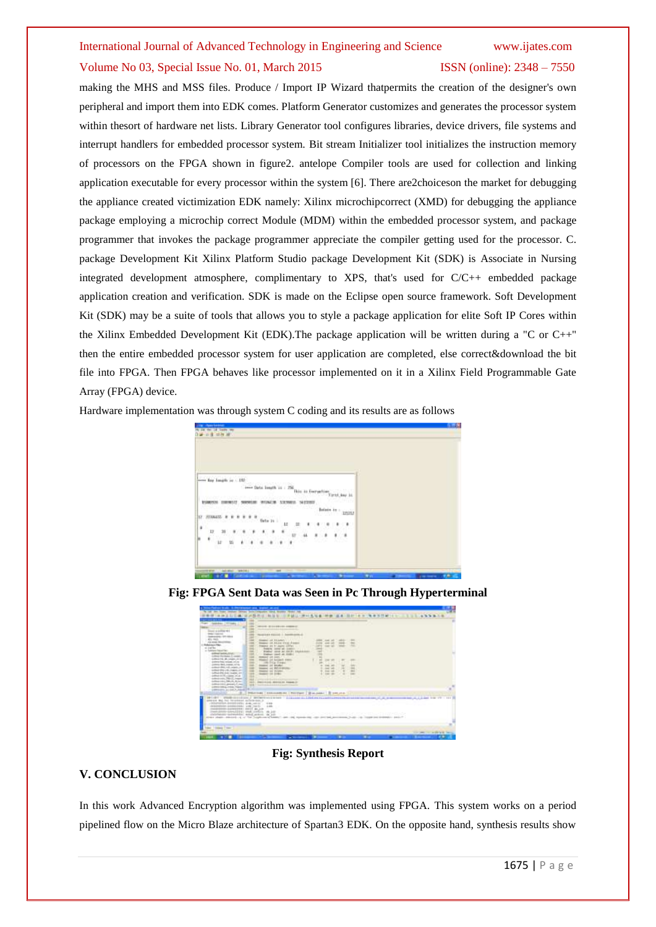# Volume No 03, Special Issue No. 01, March 2015 ISSN (online): 2348 – 7550

making the MHS and MSS files. Produce / Import IP Wizard thatpermits the creation of the designer's own peripheral and import them into EDK comes. Platform Generator customizes and generates the processor system within thesort of hardware net lists. Library Generator tool configures libraries, device drivers, file systems and interrupt handlers for embedded processor system. Bit stream Initializer tool initializes the instruction memory of processors on the FPGA shown in figure2. antelope Compiler tools are used for collection and linking application executable for every processor within the system [6]. There are2choiceson the market for debugging the appliance created victimization EDK namely: Xilinx microchipcorrect (XMD) for debugging the appliance package employing a microchip correct Module (MDM) within the embedded processor system, and package programmer that invokes the package programmer appreciate the compiler getting used for the processor. C. package Development Kit Xilinx Platform Studio package Development Kit (SDK) is Associate in Nursing integrated development atmosphere, complimentary to XPS, that's used for C/C++ embedded package application creation and verification. SDK is made on the Eclipse open source framework. Soft Development Kit (SDK) may be a suite of tools that allows you to style a package application for elite Soft IP Cores within the Xilinx Embedded Development Kit (EDK).The package application will be written during a "C or C++" then the entire embedded processor system for user application are completed, else correct&download the bit file into FPGA. Then FPGA behaves like processor implemented on it in a Xilinx Field Programmable Gate Array (FPGA) device.

Hardware implementation was through system C coding and its results are as follows

| <b>STRIPS</b><br>世夜<br>٠    |                                                    |           |                  |  |  |
|-----------------------------|----------------------------------------------------|-----------|------------------|--|--|
| W.                          |                                                    |           |                  |  |  |
|                             |                                                    |           |                  |  |  |
|                             |                                                    |           |                  |  |  |
|                             |                                                    |           |                  |  |  |
| ever for longit in 195      |                                                    |           |                  |  |  |
|                             | over Data longth in 1.2%<br>in an Everygelia       |           | Intel: Award Art |  |  |
|                             | <b>WIZILE IN</b><br>3, 12, 10, 82<br><b>MERRIT</b> |           |                  |  |  |
|                             | 59.HL<br>wow                                       | Belain in | iniu             |  |  |
| <b>STARLS</b>               | Gets 24                                            |           |                  |  |  |
| 17                          | и<br>문<br>٠                                        |           | u<br>٠           |  |  |
| ¥.                          | ٠<br>44                                            | ×<br>×    | ۹                |  |  |
| $+12$<br>蚯<br>é<br>88<br>m. |                                                    | ×<br>--   |                  |  |  |
|                             |                                                    |           |                  |  |  |
|                             |                                                    |           |                  |  |  |
|                             |                                                    |           |                  |  |  |

**Fig: FPGA Sent Data was Seen in Pc Through Hyperterminal**

| https://wattuorchicalic.cit.chtmd.pageautr.pag.ci                                                                                                                                                                                                                                                                                                                                                                                                                                                                                                                                                                                                                                                                                                                                      | ---                                                                                                                                                                                                                                                                                                                                                                                                                                                                                                                                                                          |                                                                                                                                                                                                                               |                                                                     |                |                                                    |
|----------------------------------------------------------------------------------------------------------------------------------------------------------------------------------------------------------------------------------------------------------------------------------------------------------------------------------------------------------------------------------------------------------------------------------------------------------------------------------------------------------------------------------------------------------------------------------------------------------------------------------------------------------------------------------------------------------------------------------------------------------------------------------------|------------------------------------------------------------------------------------------------------------------------------------------------------------------------------------------------------------------------------------------------------------------------------------------------------------------------------------------------------------------------------------------------------------------------------------------------------------------------------------------------------------------------------------------------------------------------------|-------------------------------------------------------------------------------------------------------------------------------------------------------------------------------------------------------------------------------|---------------------------------------------------------------------|----------------|----------------------------------------------------|
| サ1年 1111 年                                                                                                                                                                                                                                                                                                                                                                                                                                                                                                                                                                                                                                                                                                                                                                             |                                                                                                                                                                                                                                                                                                                                                                                                                                                                                                                                                                              |                                                                                                                                                                                                                               |                                                                     | WWW.TEMPLE.CO. | <b>THE ANNA CE</b>                                 |
| <b>REAL</b><br>1000<br>Andránas Telepas<br><br><b>STAR</b><br>122<br>Edward or political with<br>THE R. P. LEWIS CO., LANSING MICH.<br>$-100$<br>International COV-64-64<br>m<br>ALC: YES<br>$-0.004$<br>A R. Annah Manuschining<br>$-0.01$<br><b><i><u>Stabilizione Tiber</u></i></b><br>at Lighting<br>-<br>a Legal North<br><b>DOM</b><br>silkel addition<br>131<br>Lobosto Harrisolan E. castall<br>144<br>automobile also pregno circuit<br><b>STAR</b><br>professional colored colored<br>profession Marks, magazine confident<br>and the state state and a second con-<br>118<br>school \$10.14 (input), in<br>$-$<br>subscribed state scales and<br>$-10.6$<br>advertising and<br>114<br>administration (March Jeannes)<br>14.8<br>Andreas (1944), PM (1945), Rollery<br>$-11$ | MAIL R. P. LA ERAIN, ANNA 21<br><b>CONTRACTOR</b><br>Terminial Assessed 1. September 6.d.<br>Stadies on Akademy<br><b>MARAGE ON ALCOHOL: FEMILE PRODUCT</b><br>Vision at 4-Janet 19791<br>Production: Locked and Located L. L.<br>Bradled' Jones an excel: thunkingoni.<br><b>Stations cased at model</b><br>dealer of con- 110 million<br>Newell (cf. bright) from<br>C. Life Frig Trees:<br>maker or peaker.<br>league of \$50,0,000m<br>means on super-<br>Seated the Ender-<br>pressure property and the state of the pressure of the<br>Percentage Address on Canada in | <b>DIE 35</b><br>$\rightarrow$<br>-<br><b>CARD AND</b><br>-<br>$\sim$<br>$\overline{a}$<br><b>CONTRACTOR</b><br>÷<br>. .<br><b>CONT THE</b><br>they left<br><b>District Call</b><br><b>STATE OFFICE</b>                       | $-0.01$<br>$100 - 100$<br><br>m<br>٠<br><br>$\rightarrow$<br>$\sim$ |                |                                                    |
| introvinci provinci ne<br>police total crisis, region (2)<br>UNIVERSITY ALCOHOL: AND ALL PR<br><b>MANUFACTURERS</b>                                                                                                                                                                                                                                                                                                                                                                                                                                                                                                                                                                                                                                                                    | <b>SEAT CONTRACTOR</b> IN A REPORT FOR THE                                                                                                                                                                                                                                                                                                                                                                                                                                                                                                                                   |                                                                                                                                                                                                                               |                                                                     |                |                                                    |
| and a strict that the same state of the all of                                                                                                                                                                                                                                                                                                                                                                                                                                                                                                                                                                                                                                                                                                                                         | PROGRAMM   FORD CLASSIFICATION   PROGRAMM   IR CALIFORNIA   IR CARD AREA)                                                                                                                                                                                                                                                                                                                                                                                                                                                                                                    |                                                                                                                                                                                                                               |                                                                     |                |                                                    |
| annon sui tui teistein indenian in<br>. Historical and the results of the control of the con-<br>delayaraketan pendapanan yang republik 11, 2, 200<br>CONSIDERED ANOMATOR CONTI CALLA<br>Need prove covered for the control<br>profession-terrential would asked. In put-<br>strate shape chickens of a "life boundaries a boom"                                                                                                                                                                                                                                                                                                                                                                                                                                                       | PINER : UNID-SERVICE / INTREVING WARP : G.I.Louis, G., L.Is.Conc. Is and Incontract to access to the actual con-<br>$-0.10$                                                                                                                                                                                                                                                                                                                                                                                                                                                  | The control of the control of the control of the control of the control of the control of the control of the control of the control of the control of the control of the control of the control of the control of the control | AAAAA TUUSUU USU TIRAAN ISOO ADAMAA LI AAALUT L                     |                | comments their city of the data from 1777 1, 1931. |
| dent I visitant I suppl                                                                                                                                                                                                                                                                                                                                                                                                                                                                                                                                                                                                                                                                                                                                                                |                                                                                                                                                                                                                                                                                                                                                                                                                                                                                                                                                                              |                                                                                                                                                                                                                               |                                                                     |                | the figure that the problem with the top of        |
| 1444                                                                                                                                                                                                                                                                                                                                                                                                                                                                                                                                                                                                                                                                                                                                                                                   | $-$ where $-$                                                                                                                                                                                                                                                                                                                                                                                                                                                                                                                                                                | ٠                                                                                                                                                                                                                             |                                                                     |                |                                                    |

**Fig: Synthesis Report**

# **V. CONCLUSION**

In this work Advanced Encryption algorithm was implemented using FPGA. This system works on a period pipelined flow on the Micro Blaze architecture of Spartan3 EDK. On the opposite hand, synthesis results show